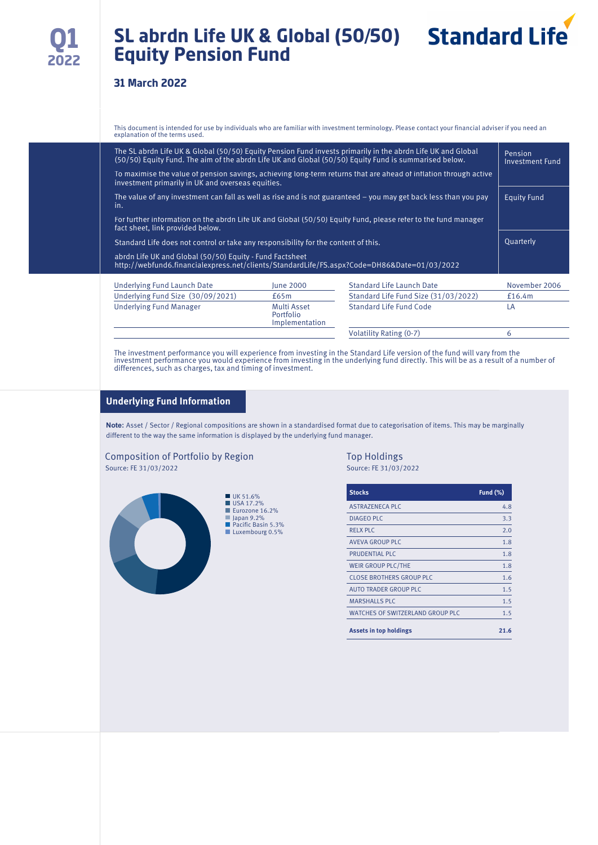# **SL abrdn Life UK & Global (50/50) Equity Pension Fund**



This document is intended for use by individuals who are familiar with investment terminology. Please contact your financial adviser if you need an explanation of the terms used.

| The SL abrdn Life UK & Global (50/50) Equity Pension Fund invests primarily in the abrdn Life UK and Global<br>(50/50) Equity Fund. The aim of the abrdn Life UK and Global (50/50) Equity Fund is summarised below. |                                      |                                                                                                                                                                                                                                                                                                                                  |  |  |  |  |
|----------------------------------------------------------------------------------------------------------------------------------------------------------------------------------------------------------------------|--------------------------------------|----------------------------------------------------------------------------------------------------------------------------------------------------------------------------------------------------------------------------------------------------------------------------------------------------------------------------------|--|--|--|--|
| investment primarily in UK and overseas equities.                                                                                                                                                                    |                                      |                                                                                                                                                                                                                                                                                                                                  |  |  |  |  |
| The value of any investment can fall as well as rise and is not guaranteed – you may get back less than you pay<br>in.                                                                                               |                                      |                                                                                                                                                                                                                                                                                                                                  |  |  |  |  |
|                                                                                                                                                                                                                      |                                      |                                                                                                                                                                                                                                                                                                                                  |  |  |  |  |
| Standard Life does not control or take any responsibility for the content of this.                                                                                                                                   |                                      |                                                                                                                                                                                                                                                                                                                                  |  |  |  |  |
| abrdn Life UK and Global (50/50) Equity - Fund Factsheet                                                                                                                                                             |                                      |                                                                                                                                                                                                                                                                                                                                  |  |  |  |  |
| <b>lune 2000</b>                                                                                                                                                                                                     | <b>Standard Life Launch Date</b>     | November 2006                                                                                                                                                                                                                                                                                                                    |  |  |  |  |
| £65m                                                                                                                                                                                                                 | Standard Life Fund Size (31/03/2022) | £16.4m                                                                                                                                                                                                                                                                                                                           |  |  |  |  |
|                                                                                                                                                                                                                      |                                      |                                                                                                                                                                                                                                                                                                                                  |  |  |  |  |
| Multi Asset<br>Portfolio<br>Implementation                                                                                                                                                                           | Standard Life Fund Code              | LA                                                                                                                                                                                                                                                                                                                               |  |  |  |  |
|                                                                                                                                                                                                                      |                                      | To maximise the value of pension savings, achieving long-term returns that are ahead of inflation through active<br>For further information on the abrdn Life UK and Global (50/50) Equity Fund, please refer to the fund manager<br>http://webfund6.financialexpress.net/clients/StandardLife/FS.aspx?Code=DH86&Date=01/03/2022 |  |  |  |  |

The investment performance you will experience from investing in the Standard Life version of the fund will vary from the<br>investment performance you would experience from investing in the underlying fund directly. This wil differences, such as charges, tax and timing of investment.

#### **Underlying Fund Information**

**Note:** Asset / Sector / Regional compositions are shown in a standardised format due to categorisation of items. This may be marginally different to the way the same information is displayed by the underlying fund manager.

#### Composition of Portfolio by Region Top Holdings<br>Source: FE 31/03/2022<br>Source: FE 31/03/2022 Source: FE 31/03/2022 Source: FE 31/03/2022



| <b>Stocks</b>                           | Fund $(\%)$ |
|-----------------------------------------|-------------|
| ASTRAZENECA PLC                         | 4.8         |
| <b>DIAGEO PLC</b>                       | 3.3         |
| <b>RELX PLC</b>                         | 2.0         |
| <b>AVEVA GROUP PLC</b>                  | 1.8         |
| PRUDENTIAL PLC                          | 1.8         |
| WEIR GROUP PLC/THE                      | 1.8         |
| <b>CLOSE BROTHERS GROUP PLC</b>         | 1.6         |
| AUTO TRADER GROUP PLC                   | 1.5         |
| <b>MARSHALLS PLC</b>                    | 1.5         |
| <b>WATCHES OF SWITZERLAND GROUP PLC</b> | 1.5         |
| <b>Assets in top holdings</b>           | 21.6        |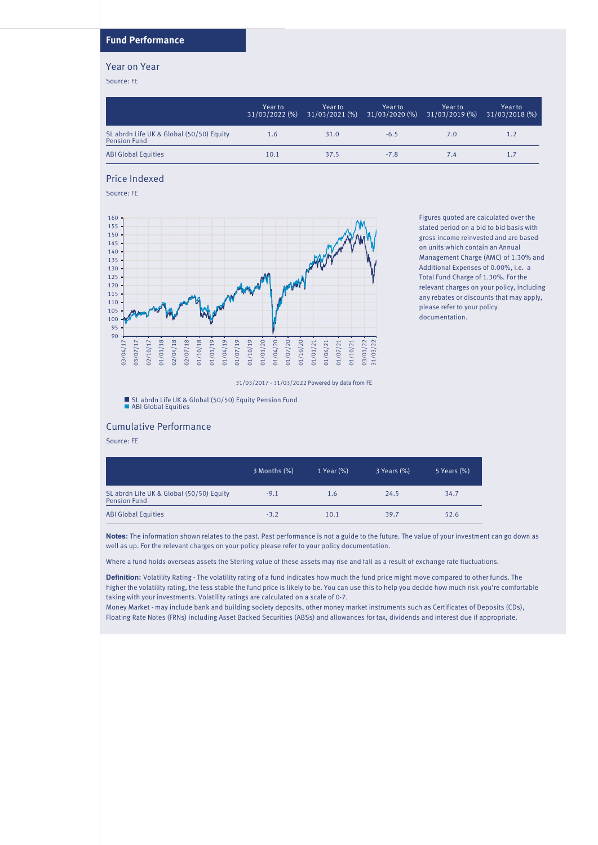### **Fund Performance**

#### Year on Year

Source: FE

|                                                                 | Year to<br>$31/03/2022$ (%) | Year to | Year to<br>$31/03/2021$ (%) $31/03/2020$ (%) | Year to<br>$31/03/2019$ (%) | Year to l<br>31/03/2018 (%) |
|-----------------------------------------------------------------|-----------------------------|---------|----------------------------------------------|-----------------------------|-----------------------------|
| SL abrdn Life UK & Global (50/50) Equity<br><b>Pension Fund</b> | 1.6                         | 31.0    | $-6.5$                                       | 7.0                         | 1.2                         |
| <b>ABI Global Equities</b>                                      | 10.1                        | 37.5    | $-7.8$                                       | 7.4                         | 1.7                         |

#### Price Indexed

Source: FE



Figures quoted are calculated over the stated period on a bid to bid basis with gross income reinvested and are based on units which contain an Annual Management Charge (AMC) of 1.30% and Additional Expenses of 0.00%, i.e. a Total Fund Charge of 1.30%. For the relevant charges on your policy, including any rebates or discounts that may apply, please refer to your policy documentation.

31/03/2017 - 31/03/2022 Powered by data from FE

SL abrdn Life UK & Global (50/50) Equity Pension Fund ABI Global Equities

#### Cumulative Performance

Source: FE

|                                                                 | 3 Months (%) | 1 Year (%) | $3$ Years $%$ | 5 Years (%) |
|-----------------------------------------------------------------|--------------|------------|---------------|-------------|
| SL abrdn Life UK & Global (50/50) Equity<br><b>Pension Fund</b> | $-9.1$       | 1.6        | 24.5          | 34.7        |
| <b>ABI Global Equities</b>                                      | $-3.2$       | 10.1       | 39.7          | 52.6        |

**Notes:** The information shown relates to the past. Past performance is not a guide to the future. The value of your investment can go down as well as up. For the relevant charges on your policy please refer to your policy documentation.

Where a fund holds overseas assets the Sterling value of these assets may rise and fall as a result of exchange rate fluctuations.

**Definition:** Volatility Rating - The volatility rating of a fund indicates how much the fund price might move compared to other funds. The higher the volatility rating, the less stable the fund price is likely to be. You can use this to help you decide how much risk you're comfortable taking with your investments. Volatility ratings are calculated on a scale of 0-7.

Money Market - may include bank and building society deposits, other money market instruments such as Certificates of Deposits (CDs), Floating Rate Notes (FRNs) including Asset Backed Securities (ABSs) and allowances for tax, dividends and interest due if appropriate.